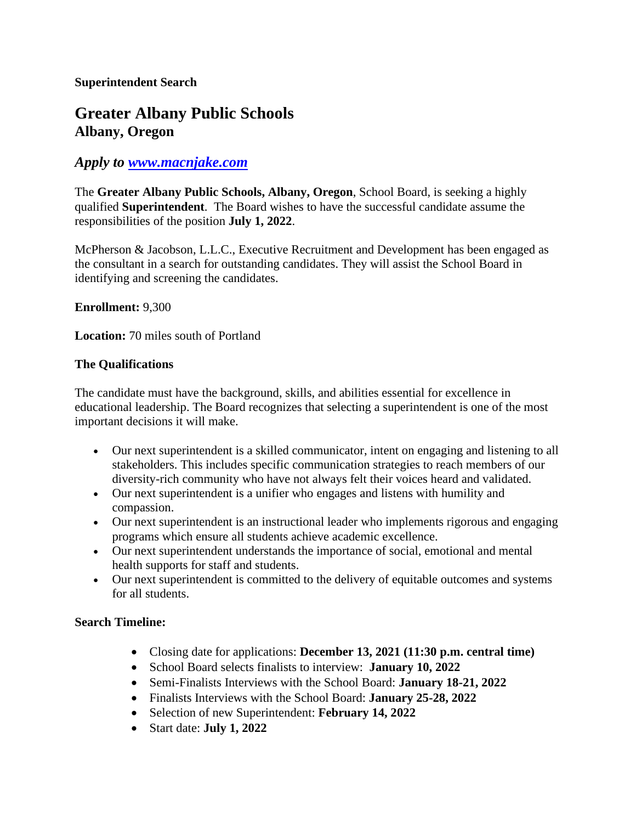# **Greater Albany Public Schools Albany, Oregon**

## *Apply to [www.macnjake.com](http://www.macnjake.com/)*

The **Greater Albany Public Schools, Albany, Oregon**, School Board, is seeking a highly qualified **Superintendent**. The Board wishes to have the successful candidate assume the responsibilities of the position **July 1, 2022**.

McPherson & Jacobson, L.L.C., Executive Recruitment and Development has been engaged as the consultant in a search for outstanding candidates. They will assist the School Board in identifying and screening the candidates.

#### **Enrollment:** 9,300

**Location:** 70 miles south of Portland

#### **The Qualifications**

The candidate must have the background, skills, and abilities essential for excellence in educational leadership. The Board recognizes that selecting a superintendent is one of the most important decisions it will make.

- Our next superintendent is a skilled communicator, intent on engaging and listening to all stakeholders. This includes specific communication strategies to reach members of our diversity-rich community who have not always felt their voices heard and validated.
- Our next superintendent is a unifier who engages and listens with humility and compassion.
- Our next superintendent is an instructional leader who implements rigorous and engaging programs which ensure all students achieve academic excellence.
- Our next superintendent understands the importance of social, emotional and mental health supports for staff and students.
- Our next superintendent is committed to the delivery of equitable outcomes and systems for all students.

### **Search Timeline:**

- Closing date for applications: **December 13, 2021 (11:30 p.m. central time)**
- School Board selects finalists to interview: **January 10, 2022**
- Semi-Finalists Interviews with the School Board: **January 18-21, 2022**
- Finalists Interviews with the School Board: **January 25-28, 2022**
- Selection of new Superintendent: **February 14, 2022**
- Start date: **July 1, 2022**